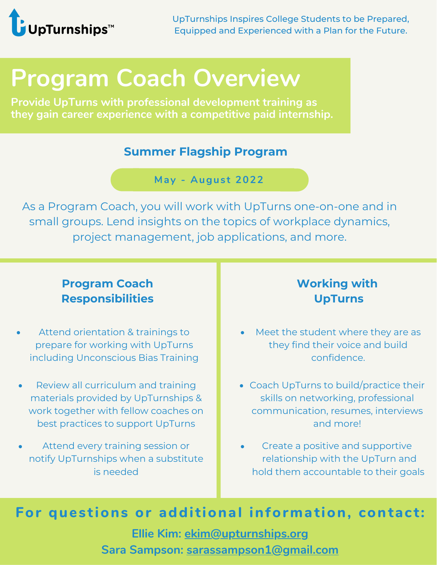

UpTurnships Inspires College Students to be Prepared, Equipped and Experienced with a Plan for the Future.

# **Program Coach Overview**

**Provide UpTurns with professional development training as they gain career experience with a competitive paid internship.**

#### **Summer Flagship Program**

**May - Augus t 2022**

As a Program Coach, you will work with UpTurns one-on-one and in small groups. Lend insights on the topics of workplace dynamics, project management, job applications, and more.

### **Program Coach Responsibilities**

- Attend orientation & trainings to prepare for working with UpTurns including Unconscious Bias Training
- Review all curriculum and training materials provided by UpTurnships & work together with fellow coaches on best practices to support UpTurns
- Attend every training session or notify UpTurnships when a substitute is needed

## **Working with UpTurns**

- Meet the student where they are as they find their voice and build confidence.
- Coach UpTurns to build/practice their skills on networking, professional communication, resumes, interviews and more!
- Create a positive and supportive relationship with the UpTurn and hold them accountable to their goals

*For* **questions or additional information, contact:** 

**Ellie Kim: ekim@upturnships.org Sara Sampson: sarassampson1@gmail.com**